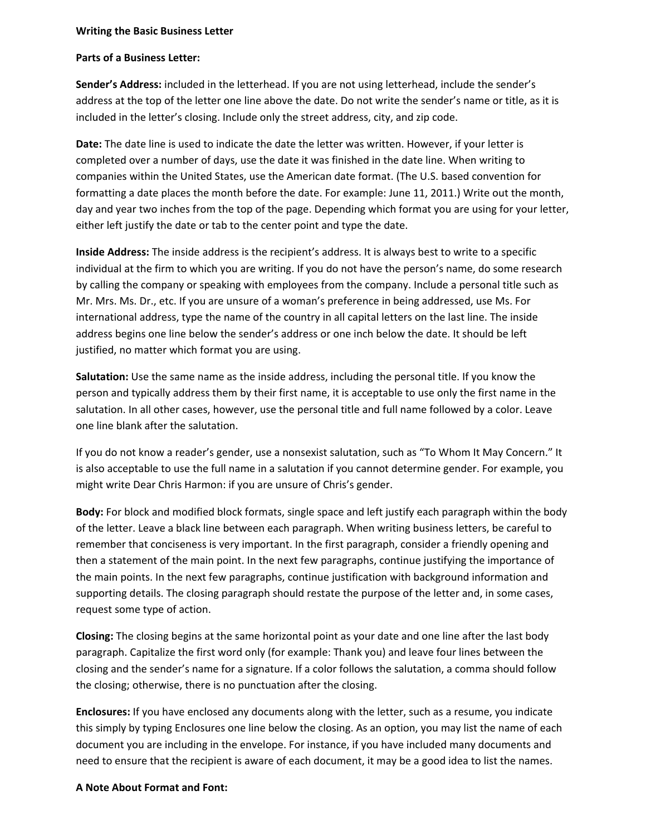## **Writing the Basic Business Letter**

## **Parts of a Business Letter:**

**Sender's Address:** included in the letterhead. If you are not using letterhead, include the sender's address at the top of the letter one line above the date. Do not write the sender's name or title, as it is included in the letter's closing. Include only the street address, city, and zip code.

**Date:** The date line is used to indicate the date the letter was written. However, if your letter is completed over a number of days, use the date it was finished in the date line. When writing to companies within the United States, use the American date format. (The U.S. based convention for formatting a date places the month before the date. For example: June 11, 2011.) Write out the month, day and year two inches from the top of the page. Depending which format you are using for your letter, either left justify the date or tab to the center point and type the date.

**Inside Address:** The inside address is the recipient's address. It is always best to write to a specific individual at the firm to which you are writing. If you do not have the person's name, do some research by calling the company or speaking with employees from the company. Include a personal title such as Mr. Mrs. Ms. Dr., etc. If you are unsure of a woman's preference in being addressed, use Ms. For international address, type the name of the country in all capital letters on the last line. The inside address begins one line below the sender's address or one inch below the date. It should be left justified, no matter which format you are using.

**Salutation:** Use the same name as the inside address, including the personal title. If you know the person and typically address them by their first name, it is acceptable to use only the first name in the salutation. In all other cases, however, use the personal title and full name followed by a color. Leave one line blank after the salutation.

If you do not know a reader's gender, use a nonsexist salutation, such as "To Whom It May Concern." It is also acceptable to use the full name in a salutation if you cannot determine gender. For example, you might write Dear Chris Harmon: if you are unsure of Chris's gender.

**Body:** For block and modified block formats, single space and left justify each paragraph within the body of the letter. Leave a black line between each paragraph. When writing business letters, be careful to remember that conciseness is very important. In the first paragraph, consider a friendly opening and then a statement of the main point. In the next few paragraphs, continue justifying the importance of the main points. In the next few paragraphs, continue justification with background information and supporting details. The closing paragraph should restate the purpose of the letter and, in some cases, request some type of action.

**Closing:** The closing begins at the same horizontal point as your date and one line after the last body paragraph. Capitalize the first word only (for example: Thank you) and leave four lines between the closing and the sender's name for a signature. If a color follows the salutation, a comma should follow the closing; otherwise, there is no punctuation after the closing.

**Enclosures:** If you have enclosed any documents along with the letter, such as a resume, you indicate this simply by typing Enclosures one line below the closing. As an option, you may list the name of each document you are including in the envelope. For instance, if you have included many documents and need to ensure that the recipient is aware of each document, it may be a good idea to list the names.

## **A Note About Format and Font:**